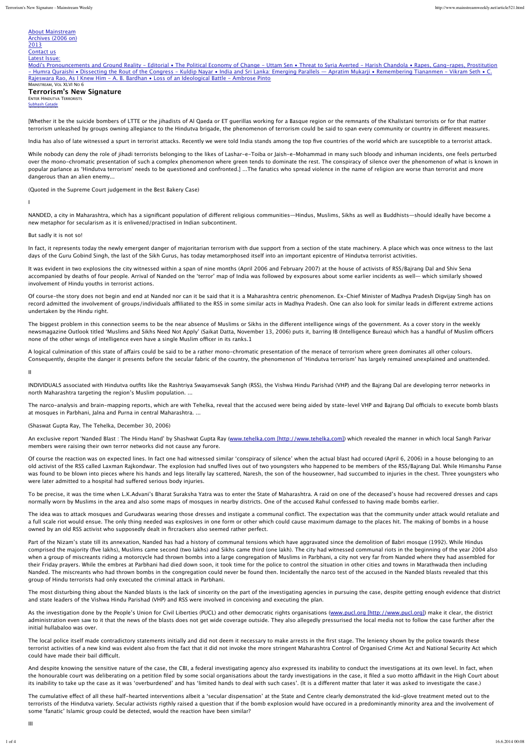# About Mainstream Archives (2006 on) 2013

#### Contact us Latest Issue:

Modi's Pronouncements and Ground Reality - Editorial • The Political Economy of Change - Uttam Sen • Threat to Syria Averted - Harish Chandola • Rapes, Gang-rapes, Prostitution - Humra Quraishi • Dissecting the Rout of the Congress - Kuldip Nayar • India and Sri Lanka: Emerging Parallels — Apratim Mukarji • Remembering Tiananmen - Vikram Seth • C. Rajeswara Rao, As I Knew Him - A. B. Bardhan • Loss of an Ideological Battle - Ambrose Pinto MAINSTREAM, VOL XLVI NO 6

## **Terrorism's New Signature** ENTER HINDUTVA TERRORISTS Subhash Gatade

[Whether it be the suicide bombers of LTTE or the iihadists of AI Qaeda or ET querillas working for a Basque region or the remnants of the Khalistani terrorists or for that matter terrorism unleashed by groups owning allegiance to the Hindutva brigade, the phenomenon of terrorism could be said to span every community or country in diferent measures.

India has also of late witnessed a spurt in terrorist attacks. Recently we were told India stands among the top five countries of the world which are susceptible to a terrorist attack.

While nobody can deny the role of jihadi terrorists belonging to the likes of Lashar-e-Toiba or Jaish-e-Mohammad in many such bloody and inhuman incidents, one feels perturbed over the mono-chromatic presentation of such a complex phenomenon where green tends to dominate the rest. The conspiracy of silence over the phenomenon of what is known in popular parlance as 'Hindutva terrorism' needs to be questioned and confronted.] ...The fanatics who spread violence in the name of religion are worse than terrorist and more dangerous than an alien enemy...

(Quoted in the Supreme Court judgement in the Best Bakery Case)

I

NANDED, a city in Maharashtra, which has a significant population of diferent religious communities—Hindus, Muslims, Sikhs as well as Buddhists—should ideally have become a new metaphor for secularism as it is enlivened/practised in Indian subcontinent.

### But sadly it is not so!

In fact, it represents today the newly emergent danger of majoritarian terrorism with due support from a section of the state machinery. A place which was once witness to the last days of the Guru Gobind Singh, the last of the Sikh Gurus, has today metamorphosed itself into an important epicentre of Hindutva terrorist activities.

It was evident in two explosions the city witnessed within a span of nine months (April 2006 and February 2007) at the house of activists of RSS/Bajrang Dal and Shiv Sena accompanied by deaths of four people. Arrival of Nanded on the 'terror' map of India was followed by exposures about some earlier incidents as well— which similarly showed involvement of Hindu youths in terrorist actions.

Of course-the story does not begin and end at Nanded nor can it be said that it is a Maharashtra centric phenomenon. Ex-Chief Minister of Madhya Pradesh Digvijay Singh has on record admitted the involvement of groups/individuals afliated to the RSS in some similar acts in Madhya Pradesh. One can also look for similar leads in diferent extreme actions undertaken by the Hindu right.

The biggest problem in this connection seems to be the near absence of Muslims or Sikhs in the diferent intelligence wings of the government. As a cover story in the weekly newsmagazine Outlook titled 'Muslims and Sikhs Need Not Apply' (Saikat Datta, November 13, 2006) puts it, barring IB (Intelligence Bureau) which has a handful of Muslim officers none of the other wings of intelligence even have a single Muslim officer in its ranks.1

A logical culmination of this state of afairs could be said to be a rather mono-chromatic presentation of the menace of terrorism where green dominates all other colours. Consequently, despite the danger it presents before the secular fabric of the country, the phenomenon of 'Hindutva terrorism' has largely remained unexplained and unattended.

II

INDIVIDUALS associated with Hindutva outfits like the Rashtriya Swayamsevak Sangh (RSS), the Vishwa Hindu Parishad (VHP) and the Bajrang Dal are developing terror networks in north Maharashtra targeting the region's Muslim population. ...

The narco-analysis and brain-mapping reports, which are with Tehelka, reveal that the accused were being aided by state-level VHP and Bajrang Dal officials to execute bomb blasts at mosques in Parbhani, Jalna and Purna in central Maharashtra. ...

(Shaswat Gupta Ray, The Tehelka, December 30, 2006)

An exclusive report 'Nanded Blast : The Hindu Hand' by Shashwat Gupta Ray (www.tehelka.com [http://www.tehelka.com]) which revealed the manner in which local Sangh Parivar members were raising their own terror networks did not cause any furore.

Of course the reaction was on expected lines. In fact one had witnessed similar 'conspiracy of silence' when the actual blast had occured (April 6, 2006) in a house belonging to an old activist of the RSS called Laxman Rajkondwar. The explosion had snufed lives out of two youngsters who happened to be members of the RSS/Bajrang Dal. While Himanshu Panse was found to be blown into pieces where his hands and legs literally lay scattered, Naresh, the son of the houseowner, had succumbed to injuries in the chest. Three youngsters who were later admitted to a hospital had suffered serious body injuries.

To be precise, it was the time when L.K.Advani's Bharat Suraksha Yatra was to enter the State of Maharashtra. A raid on one of the deceased's house had recovered dresses and caps normally worn by Muslims in the area and also some maps of mosques in nearby districts. One of the accused Rahul confessed to having made bombs earlier.

The idea was to attack mosques and Gurudwaras wearing those dresses and instigate a communal conflict. The expectation was that the community under attack would retaliate and a full scale riot would ensue. The only thing needed was explosives in one form or other which could cause maximum damage to the places hit. The making of bombs in a house owned by an old RSS activist who supposedly dealt in fircrackers also seemed rather perfect.

Part of the Nizam's state till its annexation, Nanded has had a history of communal tensions which have aggravated since the demolition of Babri mosque (1992). While Hindus comprised the majority (five lakhs), Muslims came second (two lakhs) and Sikhs came third (one lakh). The city had witnessed communal riots in the beginning of the year 2004 also when a group of miscreants riding a motorcycle had thrown bombs into a large congregation of Muslims in Parbhani, a city not very far from Nanded where they had assembled for their Friday prayers. While the embres at Parbhani had died down soon, it took time for the police to control the situation in other cities and towns in Marathwada then including Nanded. The miscreants who had thrown bombs in the congregation could never be found then. Incidentally the narco test of the accused in the Nanded blasts revealed that this group of Hindu terrorists had only executed the criminal attack in Parbhani.

The most disturbing thing about the Nanded blasts is the lack of sincerity on the part of the investigating agencies in pursuing the case, despite getting enough evidence that district and state leaders of the Vishwa Hindu Parishad (VHP) and RSS were involved in conceiving and executing the plan.

As the investigation done by the People's Union for Civil Liberties (PUCL) and other democratic rights organisations (www.pucl.org [http://www.pucl.org]) make it clear, the district administration even saw to it that the news of the blasts does not get wide coverage outside. They also allegedly pressurised the local media not to follow the case further after the initial hullabaloo was over.

The local police itself made contradictory statements initially and did not deem it necessary to make arrests in the first stage. The leniency shown by the police towards these terrorist activities of a new kind was evident also from the fact that it did not invoke the more stringent Maharashtra Control of Organised Crime Act and National Security Act which could have made their bail difficult.

And despite knowing the sensitive nature of the case, the CBI, a federal investigating agency also expressed its inability to conduct the investigations at its own level. In fact, when the honourable court was deliberating on a petition filed by some social organisations about the tardy investigations in the case, it filed a suo motto affidavit in the High Court about its inability to take up the case as it was 'overburdened' and has 'limited hands to deal with such cases'. (It is a different matter that later it was asked to investigate the case.)

The cumulative efect of all these half-hearted interventions albeit a 'secular dispensation' at the State and Centre clearly demonstrated the kid-glove treatment meted out to the terrorists of the Hindutva variety. Secular activists rigthly raised a question that if the bomb explosion would have occured in a predominantly minority area and the involvement of some 'fanatic' Islamic group could be detected, would the reaction have been similar?

III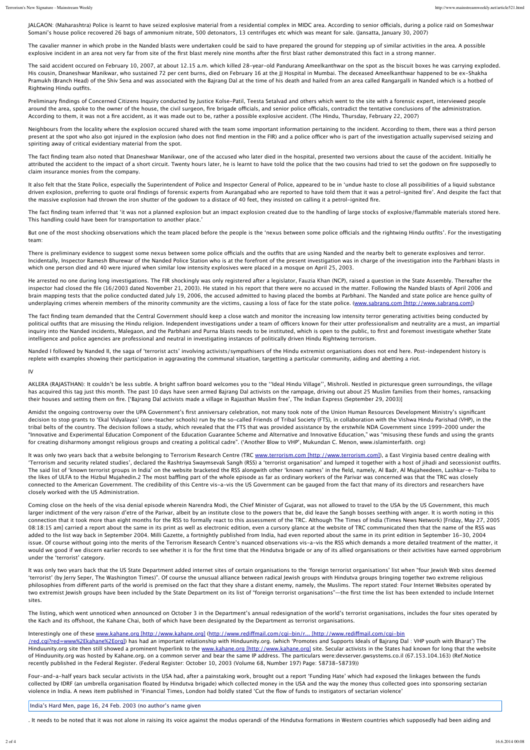JALGAON: (Maharashtra) Police is learnt to have seized explosive material from a residential complex in MIDC area. According to senior officials, during a police raid on Someshwar Somani's house police recovered 26 bags of ammonium nitrate, 500 detonators, 13 centrifuges etc which was meant for sale. (Jansatta, January 30, 2007)

The cavalier manner in which probe in the Nanded blasts were undertaken could be said to have prepared the ground for stepping up of similar activities in the area. A possible explosive incident in an area not very far from site of the first blast merely nine months after the first blast rather demonstrated this fact in a strong manner.

The said accident occured on February 10, 2007, at about 12.15 a.m. which killed 28-year-old Pandurang Ameelkanthwar on the spot as the biscuit boxes he was carrying exploded. His cousin, Dnaneshwar Manikwar, who sustained 72 per cent burns, died on February 16 at the JJ Hospital in Mumbai. The deceased Ameelkanthwar happened to be ex-Shakha Pramukh (Branch Head) of the Shiv Sena and was associated with the Bajrang Dal at the time of his death and hailed from an area called Rangargalli in Nanded which is a hotbed of Rightwing Hindu outfits.

Preliminary findings of Concerned Citizens Inquiry conducted by Justice Kolse-Patil, Teesta Setalvad and others which went to the site with a forensic expert, interviewed people around the area, spoke to the owner of the house, the civil surgeon, fire brigade officials, and senior police officials, contradict the tentative conclusions of the administration. According to them, it was not a fire accident, as it was made out to be, rather a possible explosive accident. (The Hindu, Thursday, February 22, 2007)

Neighbours from the locality where the explosion occured shared with the team some important information pertaining to the incident. According to them, there was a third person present at the spot who also got injured in the explosion (who does not find mention in the FIR) and a police officer who is part of the investigation actually supervised seizing and spiriting away of critical evidentiary material from the spot.

The fact finding team also noted that Dnaneshwar Manikwar, one of the accused who later died in the hospital, presented two versions about the cause of the accident. Initially he attributed the accident to the impact of a short circuit. Twenty hours later, he is learnt to have told the police that the two cousins had tried to set the godown on fire supposedly to claim insurance monies from the company.

It also felt that the State Police, especially the Superintendent of Police and Inspector General of Police, appeared to be in 'undue haste to close all possibilities of a liquid substance driven explosion, preferring to quote oral findings of forensic experts from Aurangabad who are reported to have told them that it was a petrol-ignited fire'. And despite the fact that the massive explosion had thrown the iron shutter of the godown to a distace of 40 feet, they insisted on calling it a petrol-ignited fire.

The fact finding team inferred that 'it was not a planned explosion but an impact explosion created due to the handling of large stocks of explosive/flammable materials stored here. This handling could have been for transportation to another place.'

But one of the most shocking observations which the team placed before the people is the 'nexus between some police officials and the rightwing Hindu outfits'. For the investigating team:

There is preliminary evidence to suggest some nexus between some police officials and the outfits that are using Nanded and the nearby belt to generate explosives and terror. Incidentally, Inspector Ramesh Bhurewar of the Nanded Police Station who is at the forefront of the present investigation was in charge of the investigation into the Parbhani blasts in which one person died and 40 were injured when similar low intensity explosives were placed in a mosque on April 25, 2003.

He arrested no one during long investigations. The FIR shockingly was only registered after a legislator, Fauzia Khan (NCP), raised a question in the State Assembly. Thereafter the inspector had closed the file (16/2003 dated November 21, 2003). He stated in his report that there were no accused in the matter. Following the Nanded blasts of April 2006 and brain mapping tests that the police conducted dated July 19, 2006, the accused admitted to having placed the bombs at Parbhani. The Nanded and state police are hence guilty of underplaying crimes wherein members of the minority community are the victims, causing a loss of face for the state police. (www.sabrang.com [http://www.sabrang.com])

The fact finding team demanded that the Central Government should keep a close watch and monitor the increasing low intensity terror generating activities being conducted by political outfits that are misusing the Hindu religion. Independent investigations under a team of officers known for their utter professionalism and neutrality are a must, an impartial inquiry into the Nanded incidents, Malegaon, and the Parbhani and Purna blasts needs to be instituted, which is open to the public, to first and foremost investigate whether State intelligence and police agencies are professional and neutral in investigating instances of politically driven Hindu Rightwing terrorism.

Nanded I followed by Nanded II, the saga of 'terrorist acts' involving activists/sympathisers of the Hindu extremist organisations does not end here. Post-independent history is replete with examples showing their participation in aggravating the communal situation, targetting a particular community, aiding and abetting a riot.

IV

AKLERA (RAJASTHAN): It couldn't be less subtle. A bright safron board welcomes you to the ''Ideal Hindu Village'', Mishroli. Nestled in picturesque green surroundings, the village has acquired this tag just this month. The past 10 days have seen armed Bajrang Dal activists on the rampage, driving out about 25 Muslim families from their homes, ransacking their houses and setting them on fire. ['Bajrang Dal activists made a village in Rajasthan Muslim free', The Indian Express (September 29, 2003)]

Amidst the ongoing controversy over the UPA Government's first anniversary celebration, not many took note of the Union Human Resources Development Ministry's significant decision to stop grants to 'Ekal Vidyalayas' (one-teacher schools) run by the so-called Friends of Tribal Society (FTS), in collaboration with the Vishwa Hindu Parishad (VHP), in the tribal belts of the country. The decision follows a study, which revealed that the FTS that was provided assistance by the erstwhile NDA Government since 1999-2000 under the "Innovative and Experimental Education Component of the Education Guarantee Scheme and Alternative and Innovative Education," was "misusing these funds and using the grants for creating disharmony amongst religious groups and creating a political cadre". ('Another Blow to VHP', Mukundan C. Menon, www.islaminterfaith. org)

It was only two years back that a website belonging to Terrorism Research Centre (TRC www.terrorism.com [http://www.terrorism.com]), a East Virginia based centre dealing with 'Terrorism and security related studies', declared the Rashtriya Swaymsevak Sangh (RSS) a 'terrorist organisation' and lumped it together with a host of jihadi and secessionist outfits. The said list of 'known terrorist groups in India' on the website bracketed the RSS alongwith other 'known names' in the field, namely, Al Badr, Al Mujaheedeen, Lashkar-e-Toiba to the likes of ULFA to the Hizbul Mujahedin.2 The most baffling part of the whole episode as far as ordinary workers of the Parivar was concerned was that the TRC was closely connected to the American Government. The credibility of this Centre vis-a-vis the US Government can be gauged from the fact that many of its directors and researchers have closely worked with the US Administration.

Coming close on the heels of the visa denial episode wherein Narendra Modi, the Chief Minister of Gujarat, was not allowed to travel to the USA by the US Government, this much larger indictment of the very raison d'etre of the Parivar, albeit by an institute close to the powers that be, did leave the Sangh bosses seething with anger. It is worth noting in this connection that it took more than eight months for the RSS to formally react to this assessment of the TRC. Although The Times of India (Times News Network) [Friday, May 27, 2005 08:18:15 am] carried a report about the same in its print as well as electronic edition, even a cursory glance at the website of TRC communicated then that the name of the RSS was added to the list way back in September 2004. Milli Gazette, a fortnightly published from India, had even reported about the same in its print edition in September 16-30, 2004 issue. Of course without going into the merits of the Terrorism Research Centre's nuanced observations vis-a-vis the RSS which demands a more detailed treatment of the matter, it would we good if we discern earlier records to see whether it is for the first time that the Hindutva brigade or any of its allied organisations or their activities have earned opprobrium under the 'terrorist' category.

It was only two years back that the US State Department added internet sites of certain organisations to the 'foreign terrorist organisations' list when "four Jewish Web sites deemed 'terrorist' (by Jerry Seper, The Washington Times)". Of course the unusual alliance between radical Jewish groups with Hindutva groups bringing together two extreme religious philosophies from different parts of the world is premised on the fact that they share a distant enemy, namely, the Muslims. The report stated: Four Internet Websites operated by two extremist Jewish groups have been included by the State Department on its list of "foreign terrorist organisations"—the first time the list has been extended to include Internet sites.

The listing, which went unnoticed when announced on October 3 in the Department's annual redesignation of the world's terrorist organisations, includes the four sites operated by the Kach and its offshoot, the Kahane Chai, both of which have been designated by the Department as terrorist organisations.

Interestingly one of these www.kahane.org [http://www.kahane.org] (http://www.redifmail.com/cgi-bin/r... [http://www.redifmail.com/cgi-bin

/red.cgi?red=www%2Ekahane%2Eorg]) has had an important relationship with Hinduunity.org. (which 'Promotes and Supports Ideals of Bajrang Dal : VHP youth with Bharat') The Hinduunity.org site then still showed a prominent hyperlink to the www.kahane.org [http://www.kahane.org] site. Secular activists in the States had known for long that the website of Hinduunity.org was hosted by Kahane.org. on a common server and bear the same IP address. The particulars were:devserver.gwsystems.co.il (67.153.104.163) (Ref.Notice recently published in the Federal Register. (Federal Register: October 10, 2003 (Volume 68, Number 197) Page: 58738-58739))

Four-and-a-half years back secular activists in the USA had, after a painstaking work, brought out a report 'Funding Hate' which had exposed the linkages between the funds collected by IDRF (an umbrella organisation floated by Hindutva brigade) which collected money in the USA and the way the money thus collected goes into sponsoring sectarian violence in India. A news item published in 'Financial Times, London had boldly stated 'Cut the flow of funds to instigators of sectarian violence'

India's Hard Men, page 16, 24 Feb. 2003 (no author's name given

. It needs to be noted that it was not alone in raising its voice against the modus operandi of the Hindutva formations in Western countries which supposedly had been aiding and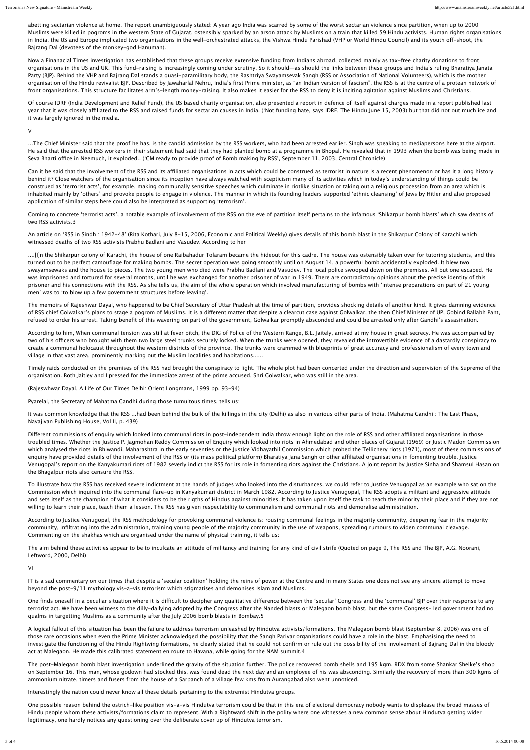abetting sectarian violence at home. The report unambiguously stated: A year ago India was scarred by some of the worst sectarian violence since partition, when up to 2000 Muslims were killed in pogroms in the western State of Gujarat, ostensibly sparked by an arson attack by Muslims on a train that killed 59 Hindu activists. Human rights organisations in India, the US and Europe implicated two organisations in the well-orchestrated attacks, the Vishwa Hindu Parishad (VHP or World Hindu Council) and its youth off-shoot, the Bajrang Dal (devotees of the monkey-god Hanuman).

Now a Finanacial Times investigation has established that these groups receive extensive funding from Indians abroad, collected mainly as tax-free charity donations to front organisations in the US and UK. This fund-raising is increasingly coming under scrutiny. So it should—as should the links between these groups and India's ruling Bharatiya Janata Party (BJP). Behind the VHP and Bajrang Dal stands a quasi-paramilitary body, the Rashtriya Swayamsevak Sangh (RSS or Association of National Volunteers), which is the mother organisation of the Hindu revivalist BJP. Described by Jawaharlal Nehru, India's first Prime minister, as "an Indian version of fascism", the RSS is at the centre of a protean network of front organisations. This structure facilitates arm's-length money-raising. It also makes it easier for the RSS to deny it is inciting agitation against Muslims and Christians.

Of course IDRF (India Development and Relief Fund), the US based charity organisation, also presented a report in defence of itself against charges made in a report published last year that it was closely afliated to the RSS and raised funds for sectarian causes in India. ('Not funding hate, says IDRF, The Hindu June 15, 2003) but that did not out much ice and it was largely ignored in the media.

V

...The Chief Minister said that the proof he has, is the candid admission by the RSS workers, who had been arrested earlier. Singh was speaking to mediapersons here at the airport. He said that the arrested RSS workers in their statement had said that they had planted bomb at a programme in Bhopal. He revealed that in 1993 when the bomb was being made in Seva Bharti office in Neemuch, it exploded.. ('CM ready to provide proof of Bomb making by RSS', September 11, 2003, Central Chronicle)

Can it be said that the involvement of the RSS and its affiliated organisations in acts which could be construed as terrorist in nature is a recent phenomenon or has it a long history behind it? Close watchers of the organisation since its inception have always watched with scepticism many of its activities which in today's understanding of things could be construed as 'terrorist acts', for example, making communally sensitive speeches which culminate in riotlike situation or taking out a religious procession from an area which is inhabited mainly by 'others' and provoke people to engage in violence. The manner in which its founding leaders supported 'ethnic cleansing' of Jews by Hitler and also proposed application of similar steps here could also be interpreted as supporting 'terrorism'.

Coming to concrete 'terrorist acts', a notable example of involvement of the RSS on the eve of partition itself pertains to the infamous 'Shikarpur bomb blasts' which saw deaths of two RSS activists.3

An article on 'RSS in Sindh : 1942-48' (Rita Kothari, July 8-15, 2006, Economic and Political Weekly) gives details of this bomb blast in the Shikarpur Colony of Karachi which witnessed deaths of two RSS activists Prabhu Badlani and Vasudev. According to her

....[I]n the Shikarpur colony of Karachi, the house of one Raibahadur Tolaram became the hideout for this cadre. The house was ostensibly taken over for tutoring students, and this turned out to be perfect camouflage for making bombs. The secret operation was going smoothly until on August 14, a powerful bomb accidentally exploded. It blew two swayamsewaks and the house to pieces. The two young men who died were Prabhu Badlani and Vasudev. The local police swooped down on the premises. All but one escaped. He was imprisoned and tortured for several months, until he was exchanged for another prisoner of war in 1949. There are contradictory opinions about the precise identity of this prisoner and his connections with the RSS. As she tells us, the aim of the whole operation which involved manufacturing of bombs with 'intense preparations on part of 21 young men' was to 'to blow up a few government structures before leaving'.

The memoirs of Rajeshwar Dayal, who happened to be Chief Secretary of Uttar Pradesh at the time of partition, provides shocking details of another kind. It gives damning evidence of RSS chief Golwalkar's plans to stage a pogrom of Muslims. It is a diferent matter that despite a clearcut case against Golwalkar, the then Chief Minister of UP, Gobind Ballabh Pant, refused to order his arrest. Taking benefit of this wavering on part of the government, Golwalkar promptly absconded and could be arrested only after Gandhi's assasination.

According to him, When communal tension was still at fever pitch, the DIG of Police of the Western Range, B.L. Jaitely, arrived at my house in great secrecy. He was accompanied by two of his officers who brought with them two large steel trunks securely locked. When the trunks were opened, they revealed the introvertible evidence of a dastardly conspiracy to create a communal holocaust throughout the western districts of the province. The trunks were crammed with blueprints of great accuracy and professionalism of every town and village in that vast area, prominently marking out the Muslim localities and habitations......

Timely raids conducted on the premises of the RSS had brought the conspiracy to light. The whole plot had been concerted under the direction and supervision of the Supremo of the organisation. Both Jaitley and I pressed for the immediate arrest of the prime accused, Shri Golwalkar, who was still in the area.

(Rajeswhwar Dayal, A Life of Our Times Delhi: Orient Longmans, 1999 pp. 93-94)

Pyarelal, the Secretary of Mahatma Gandhi during those tumultous times, tells us:

It was common knowledge that the RSS ...had been behind the bulk of the killings in the city (Delhi) as also in various other parts of India. (Mahatma Gandhi : The Last Phase, Navajivan Publishing House, Vol II, p. 439)

Diferent commissions of enquiry which looked into communal riots in post-independent India throw enough light on the role of RSS and other afliated organisations in those troubled times. Whether the Justice P. Jagmohan Reddy Commission of Enquiry which looked into riots in Ahmedabad and other places of Gujarat (1969) or Justic Madon Commission which analysed the riots in Bhiwandi, Maharashtra in the early seventies or the Justice Vidhayathil Commission which probed the Tellichery riots (1971), most of these commissions of enquiry have provided details of the involvement of the RSS or (its mass political platform) Bharatiya Jana Sangh or other afliated organisations in fomenting trouble. Justice Venugopal's report on the Kanyakumari riots of 1982 severly indict the RSS for its role in fomenting riots against the Christians. A joint report by Justice Sinha and Shamsul Hasan on the Bhagalpur riots also censure the RSS.

To illustrate how the RSS has received severe indictment at the hands of judges who looked into the disturbances, we could refer to Justice Venugopal as an example who sat on the Commission which inquired into the communal flare-up in Kanyakumari district in March 1982. According to Justice Venugopal, The RSS adopts a militant and aggressive attitude and sets itself as the champion of what it considers to be the rigths of Hindus against minorities. It has taken upon itself the task to teach the minority their place and if they are not willing to learn their place, teach them a lesson. The RSS has given respectability to communalism and communal riots and demoralise administration.

According to Justice Venugopal, the RSS methodology for provoking communal violence is: rousing communal feelings in the majority community, deepening fear in the majority community, infiltrating into the administration, training young people of the majority community in the use of weapons, spreading rumours to widen communal cleavage. Commenting on the shakhas which are organised under the name of physical training, it tells us:

The aim behind these activities appear to be to inculcate an attitude of militancy and training for any kind of civil strife (Quoted on page 9, The RSS and The BJP, A.G. Noorani, Leftword, 2000, Delhi)

VI

IT is a sad commentary on our times that despite a 'secular coalition' holding the reins of power at the Centre and in many States one does not see any sincere attempt to move beyond the post-9/11 mythology vis-a-vis terrorism which stigmatises and demonises Islam and Muslims.

One finds oneself in a peculiar situation where it is difficult to decipher any qualitative difference between the 'secular' Congress and the 'communal' BJP over their response to any terrorist act. We have been witness to the dilly-dallying adopted by the Congress after the Nanded blasts or Malegaon bomb blast, but the same Congress- led government had no qualms in targetting Muslims as a community after the July 2006 bomb blasts in Bombay.5

A logical fallout of this situation has been the failure to address terrorism unleashed by Hindutva activists/formations. The Malegaon bomb blast (September 8, 2006) was one of those rare occasions when even the Prime Minister acknowledged the possibility that the Sangh Parivar organisations could have a role in the blast. Emphasising the need to investigate the functioning of the Hindu Rightwing formations, he clearly stated that he could not confirm or rule out the possibility of the involvement of Bajrang Dal in the bloody act at Malegaon. He made this calibrated statement en route to Havana, while going for the NAM summit.4

The post-Malegaon bomb blast investigation underlined the gravity of the situation further. The police recovered bomb shells and 195 kgm. RDX from some Shankar Shelke's shop on September 16. This man, whose godown had stocked this, was found dead the next day and an employee of his was absconding. Similarly the recovery of more than 300 kgms of ammonium nitrate, timers and fusers from the house of a Sarpanch of a village few kms from Aurangabad also went unnoticed.

Interestingly the nation could never know all these details pertaining to the extremist Hindutva groups.

One possible reason behind the ostrich-like position vis-a-vis Hindutva terrorism could be that in this era of electoral democracy nobody wants to displease the broad masses of Hindu people whom these activists/formations claim to represent. With a Rightward shift in the polity where one witnesses a new common sense about Hindutva getting wider legitimacy, one hardly notices any questioning over the deliberate cover up of Hindutva terrorism.